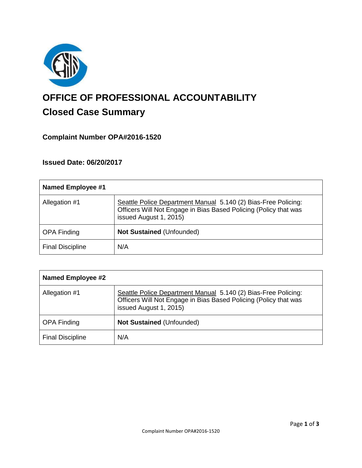

# **OFFICE OF PROFESSIONAL ACCOUNTABILITY Closed Case Summary**

# **Complaint Number OPA#2016-1520**

**Issued Date: 06/20/2017**

| <b>Named Employee #1</b> |                                                                                                                                                              |
|--------------------------|--------------------------------------------------------------------------------------------------------------------------------------------------------------|
| Allegation #1            | Seattle Police Department Manual 5.140 (2) Bias-Free Policing:<br>Officers Will Not Engage in Bias Based Policing (Policy that was<br>issued August 1, 2015) |
| <b>OPA Finding</b>       | <b>Not Sustained (Unfounded)</b>                                                                                                                             |
| <b>Final Discipline</b>  | N/A                                                                                                                                                          |

| <b>Named Employee #2</b> |                                                                                                                                                              |
|--------------------------|--------------------------------------------------------------------------------------------------------------------------------------------------------------|
| Allegation #1            | Seattle Police Department Manual 5.140 (2) Bias-Free Policing:<br>Officers Will Not Engage in Bias Based Policing (Policy that was<br>issued August 1, 2015) |
| <b>OPA Finding</b>       | <b>Not Sustained (Unfounded)</b>                                                                                                                             |
| <b>Final Discipline</b>  | N/A                                                                                                                                                          |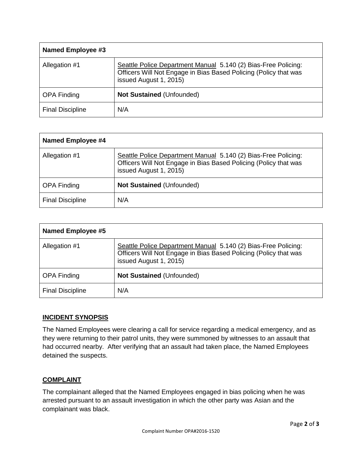| Named Employee #3       |                                                                                                                                                              |
|-------------------------|--------------------------------------------------------------------------------------------------------------------------------------------------------------|
| Allegation #1           | Seattle Police Department Manual 5.140 (2) Bias-Free Policing:<br>Officers Will Not Engage in Bias Based Policing (Policy that was<br>issued August 1, 2015) |
| <b>OPA Finding</b>      | <b>Not Sustained (Unfounded)</b>                                                                                                                             |
| <b>Final Discipline</b> | N/A                                                                                                                                                          |

| <b>Named Employee #4</b> |                                                                                                                                                              |
|--------------------------|--------------------------------------------------------------------------------------------------------------------------------------------------------------|
| Allegation #1            | Seattle Police Department Manual 5.140 (2) Bias-Free Policing:<br>Officers Will Not Engage in Bias Based Policing (Policy that was<br>issued August 1, 2015) |
| <b>OPA Finding</b>       | <b>Not Sustained (Unfounded)</b>                                                                                                                             |
| <b>Final Discipline</b>  | N/A                                                                                                                                                          |

| <b>Named Employee #5</b> |                                                                                                                                                              |
|--------------------------|--------------------------------------------------------------------------------------------------------------------------------------------------------------|
| Allegation #1            | Seattle Police Department Manual 5.140 (2) Bias-Free Policing:<br>Officers Will Not Engage in Bias Based Policing (Policy that was<br>issued August 1, 2015) |
| <b>OPA Finding</b>       | <b>Not Sustained (Unfounded)</b>                                                                                                                             |
| <b>Final Discipline</b>  | N/A                                                                                                                                                          |

## **INCIDENT SYNOPSIS**

The Named Employees were clearing a call for service regarding a medical emergency, and as they were returning to their patrol units, they were summoned by witnesses to an assault that had occurred nearby. After verifying that an assault had taken place, the Named Employees detained the suspects.

## **COMPLAINT**

The complainant alleged that the Named Employees engaged in bias policing when he was arrested pursuant to an assault investigation in which the other party was Asian and the complainant was black.